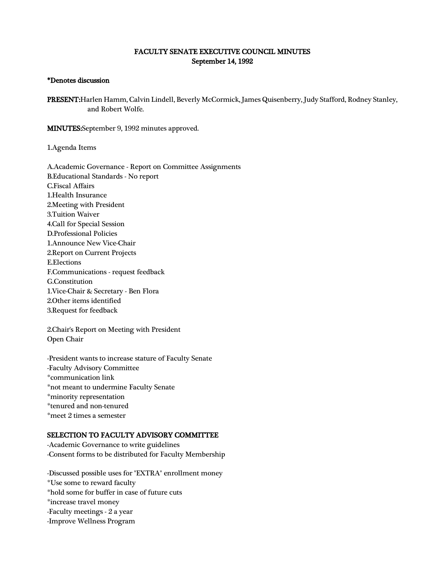## FACULTY SENATE EXECUTIVE COUNCIL MINUTES September 14, 1992

## \*Denotes discussion

PRESENT:Harlen Hamm, Calvin Lindell, Beverly McCormick, James Quisenberry, Judy Stafford, Rodney Stanley, and Robert Wolfe.

MINUTES:September 9, 1992 minutes approved.

1.Agenda Items

A.Academic Governance - Report on Committee Assignments B.Educational Standards - No report C.Fiscal Affairs 1.Health Insurance 2.Meeting with President 3.Tuition Waiver 4.Call for Special Session D.Professional Policies 1.Announce New Vice-Chair 2.Report on Current Projects E.Elections F.Communications - request feedback G.Constitution 1.Vice-Chair & Secretary - Ben Flora 2.Other items identified 3.Request for feedback

2.Chair's Report on Meeting with President Open Chair

-President wants to increase stature of Faculty Senate -Faculty Advisory Committee \*communication link \*not meant to undermine Faculty Senate \*minority representation \*tenured and non-tenured \*meet 2 times a semester

## SELECTION TO FACULTY ADVISORY COMMITTEE

-Academic Governance to write guidelines -Consent forms to be distributed for Faculty Membership

-Discussed possible uses for "EXTRA" enrollment money \*Use some to reward faculty \*hold some for buffer in case of future cuts \*increase travel money -Faculty meetings - 2 a year -Improve Wellness Program